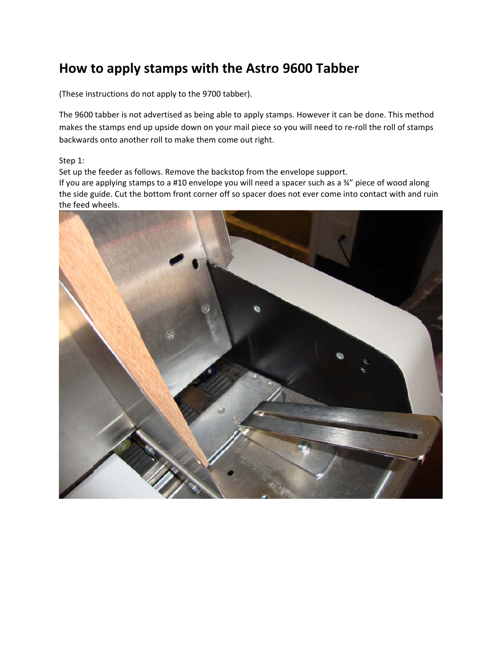## **How t to apply stamps s with th he Astro 9600 Ta abber**

(These instructions do not apply to the 9700 tabber).

The 9600 tabber is not advertised as being able to apply stamps. However it can be done. This method makes the stamps end up upside down on your mail piece so you will need to re-roll the roll of stamps backwards onto another roll to make them come out right.

## Step 1:

Set up the feeder as follows. Remove the backstop from the envelope support. If you are applying stamps to a #10 envelope you will need a spacer such as a ¾" piece of wood along the side guide. Cut the bottom front corner off so spacer does not ever come into contact with and ruin the feed w wheels.

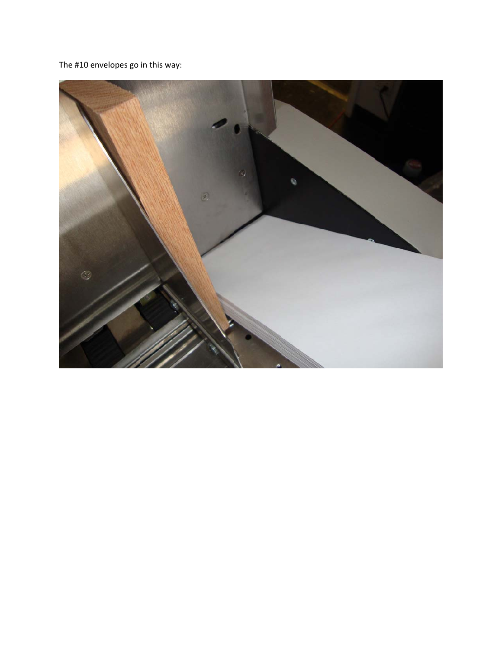The #10 envelopes go in this way:

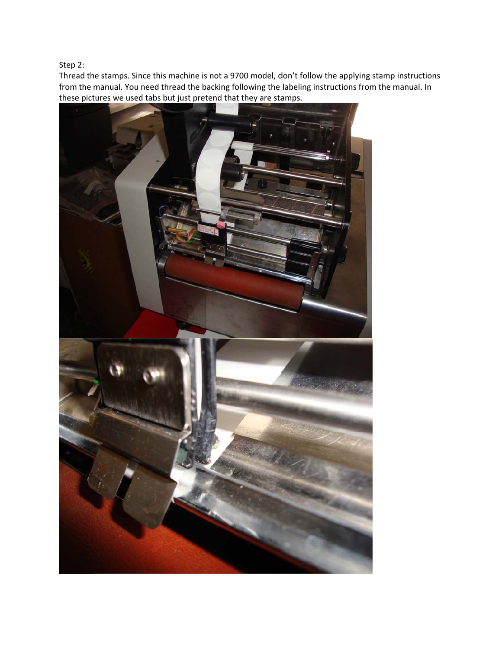Step 2:

Thread the stamps. Since this machine is not a 9700 model, don't follow the applying stamp instructions from the manual. You need thread the backing following the labeling instructions from the manual. In these pictures we used tabs but just pretend that they are stamps.

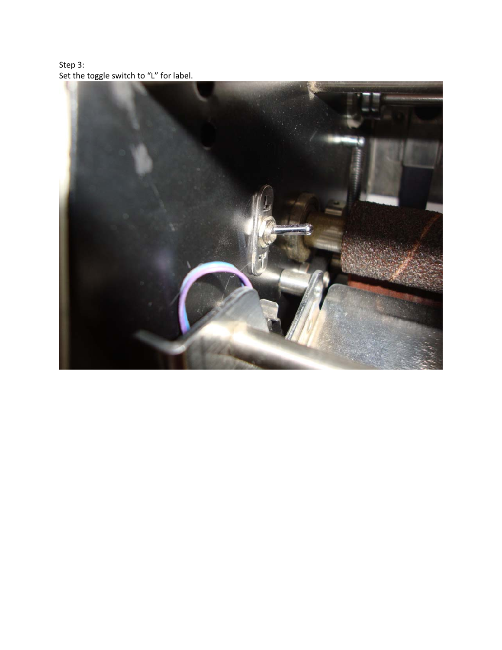Step 3: Set the toggle switch to "L" for label.

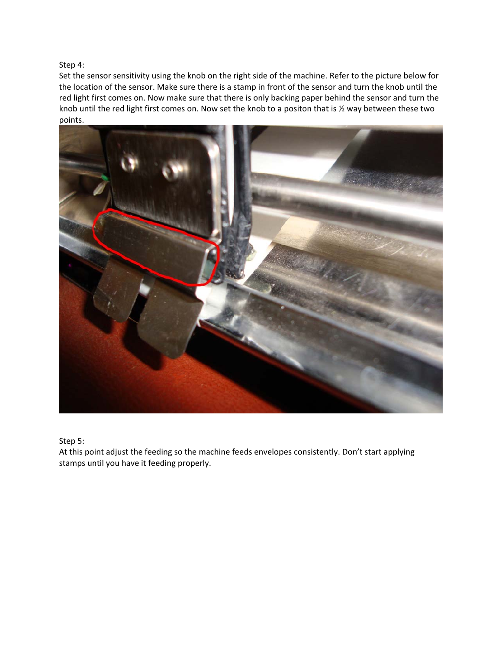Step 4:

Set the sensor sensitivity using the knob on the right side of the machine. Refer to the picture below for the location of the sensor. Make sure there is a stamp in front of the sensor and turn the knob until the red light first comes on. Now make sure that there is only backing paper behind the sensor and turn the knob until the red light first comes on. Now set the knob to a positon that is ½ way between these two points.



Step 5:

At this point adjust the feeding so the machine feeds envelopes consistently. Don't start applying stamps until you have it feeding properly.